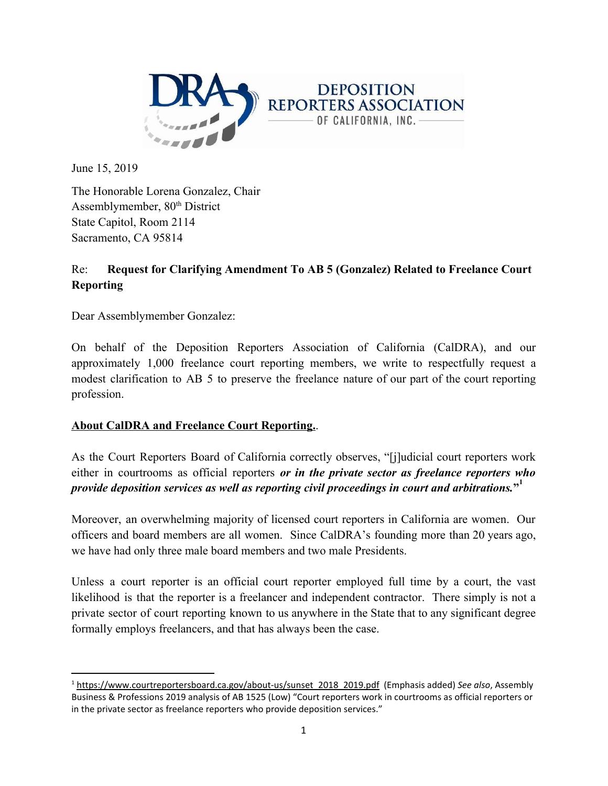

June 15, 2019

The Honorable Lorena Gonzalez, Chair Assemblymember, 80<sup>th</sup> District State Capitol, Room 2114 Sacramento, CA 95814

# Re: **Request for Clarifying Amendment To AB 5 (Gonzalez) Related to Freelance Court Reporting**

Dear Assemblymember Gonzalez:

On behalf of the Deposition Reporters Association of California (CalDRA), and our approximately 1,000 freelance court reporting members, we write to respectfully request a modest clarification to AB 5 to preserve the freelance nature of our part of the court reporting profession.

## **About CalDRA and Freelance Court Reporting.**.

As the Court Reporters Board of California correctly observes, "[j]udicial court reporters work either in courtrooms as official reporters *or in the private sector as freelance reporters who provide deposition services as well as reporting civil proceedings in court and arbitrations.***" 1**

Moreover, an overwhelming majority of licensed court reporters in California are women. Our officers and board members are all women. Since CalDRA's founding more than 20 years ago, we have had only three male board members and two male Presidents.

Unless a court reporter is an official court reporter employed full time by a court, the vast likelihood is that the reporter is a freelancer and independent contractor. There simply is not a private sector of court reporting known to us anywhere in the State that to any significant degree formally employs freelancers, and that has always been the case.

<sup>1</sup> [https://www.courtreportersboard.ca.gov/about-us/sunset\\_2018\\_2019.pdf](https://www.courtreportersboard.ca.gov/about-us/sunset_2018_2019.pdf) (Emphasis added) *See also*, Assembly Business & Professions 2019 analysis of AB 1525 (Low) "Court reporters work in courtrooms as official reporters or in the private sector as freelance reporters who provide deposition services."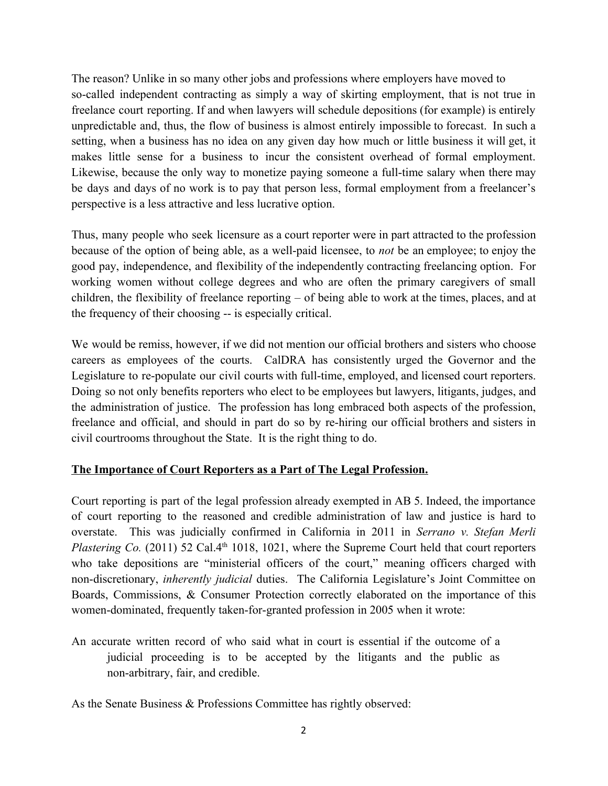The reason? Unlike in so many other jobs and professions where employers have moved to so-called independent contracting as simply a way of skirting employment, that is not true in freelance court reporting. If and when lawyers will schedule depositions (for example) is entirely unpredictable and, thus, the flow of business is almost entirely impossible to forecast. In such a setting, when a business has no idea on any given day how much or little business it will get, it makes little sense for a business to incur the consistent overhead of formal employment. Likewise, because the only way to monetize paying someone a full-time salary when there may be days and days of no work is to pay that person less, formal employment from a freelancer's perspective is a less attractive and less lucrative option.

Thus, many people who seek licensure as a court reporter were in part attracted to the profession because of the option of being able, as a well-paid licensee, to *not* be an employee; to enjoy the good pay, independence, and flexibility of the independently contracting freelancing option. For working women without college degrees and who are often the primary caregivers of small children, the flexibility of freelance reporting – of being able to work at the times, places, and at the frequency of their choosing -- is especially critical.

We would be remiss, however, if we did not mention our official brothers and sisters who choose careers as employees of the courts. CalDRA has consistently urged the Governor and the Legislature to re-populate our civil courts with full-time, employed, and licensed court reporters. Doing so not only benefits reporters who elect to be employees but lawyers, litigants, judges, and the administration of justice. The profession has long embraced both aspects of the profession, freelance and official, and should in part do so by re-hiring our official brothers and sisters in civil courtrooms throughout the State. It is the right thing to do.

## **The Importance of Court Reporters as a Part of The Legal Profession.**

Court reporting is part of the legal profession already exempted in AB 5. Indeed, the importance of court reporting to the reasoned and credible administration of law and justice is hard to overstate. This was judicially confirmed in California in 2011 in *Serrano v. Stefan Merli Plastering Co.* (2011) 52 Cal.4<sup>th</sup> 1018, 1021, where the Supreme Court held that court reporters who take depositions are "ministerial officers of the court," meaning officers charged with non-discretionary, *inherently judicial* duties. The California Legislature's Joint Committee on Boards, Commissions, & Consumer Protection correctly elaborated on the importance of this women-dominated, frequently taken-for-granted profession in 2005 when it wrote:

An accurate written record of who said what in court is essential if the outcome of a judicial proceeding is to be accepted by the litigants and the public as non-arbitrary, fair, and credible.

As the Senate Business & Professions Committee has rightly observed: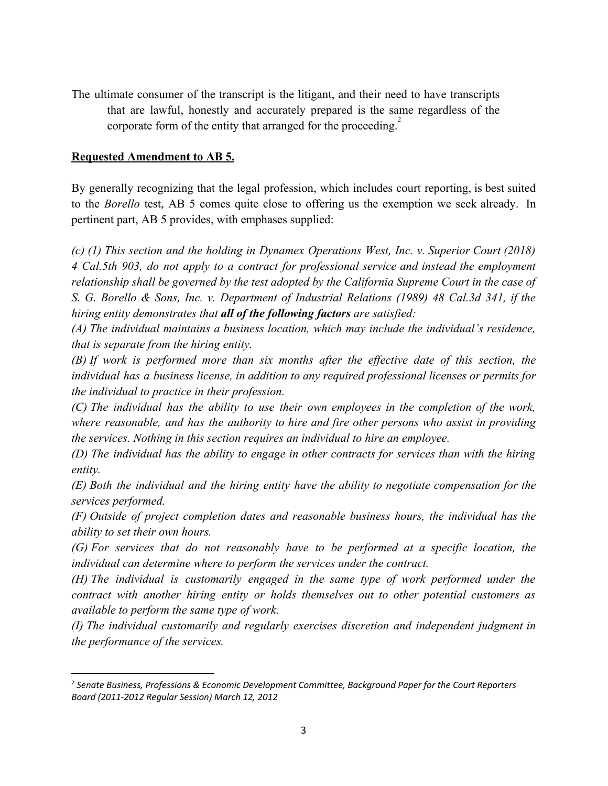The ultimate consumer of the transcript is the litigant, and their need to have transcripts that are lawful, honestly and accurately prepared is the same regardless of the corporate form of the entity that arranged for the proceeding. $\frac{2}{x}$ 

#### **Requested Amendment to AB 5.**

By generally recognizing that the legal profession, which includes court reporting, is best suited to the *Borello* test, AB 5 comes quite close to offering us the exemption we seek already. In pertinent part, AB 5 provides, with emphases supplied:

*(c) (1) This section and the holding in Dynamex Operations West, Inc. v. Superior Court (2018) 4 Cal.5th 903, do not apply to a contract for professional service and instead the employment relationship shall be governed by the test adopted by the California Supreme Court in the case of S. G. Borello & Sons, Inc. v. Department of Industrial Relations (1989) 48 Cal.3d 341, if the hiring entity demonstrates that all of the following factors are satisfied:*

*(A) The individual maintains a business location, which may include the individual's residence, that is separate from the hiring entity.*

*(B) If work is performed more than six months after the effective date of this section, the individual has a business license, in addition to any required professional licenses or permits for the individual to practice in their profession.*

*(C) The individual has the ability to use their own employees in the completion of the work, where reasonable, and has the authority to hire and fire other persons who assist in providing the services. Nothing in this section requires an individual to hire an employee.*

*(D) The individual has the ability to engage in other contracts for services than with the hiring entity.*

*(E) Both the individual and the hiring entity have the ability to negotiate compensation for the services performed.*

*(F) Outside of project completion dates and reasonable business hours, the individual has the ability to set their own hours.*

*(G) For services that do not reasonably have to be performed at a specific location, the individual can determine where to perform the services under the contract.*

*(H) The individual is customarily engaged in the same type of work performed under the contract with another hiring entity or holds themselves out to other potential customers as available to perform the same type of work.*

*(I) The individual customarily and regularly exercises discretion and independent judgment in the performance of the services.*

<sup>2</sup> *Senate Business, Professions & Economic Development Committee, Background Paper for the Court Reporters Board (2011-2012 Regular Session) March 12, 2012*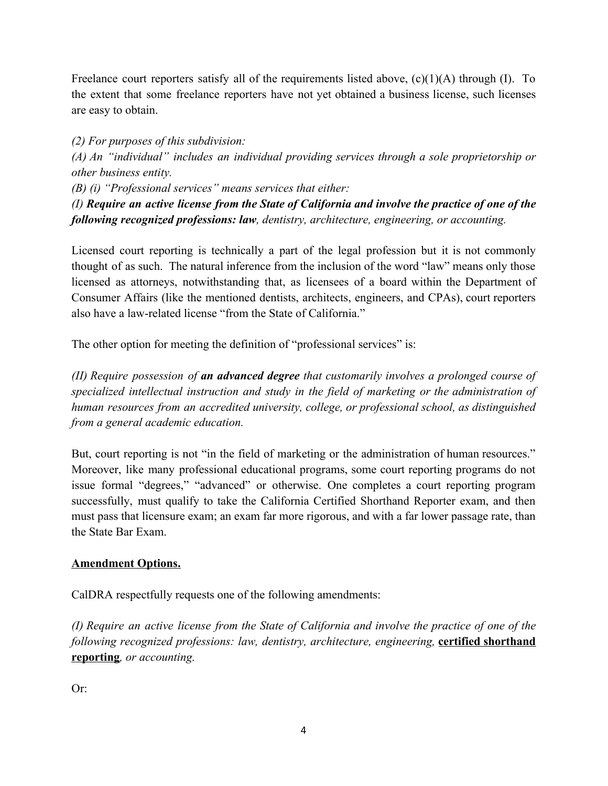Freelance court reporters satisfy all of the requirements listed above,  $(c)(1)(A)$  through (I). To the extent that some freelance reporters have not yet obtained a business license, such licenses are easy to obtain.

*(2) For purposes of this subdivision:*

*(A) An "individual" includes an individual providing services through a sole proprietorship or other business entity.*

*(B) (i) "Professional services" means services that either:*

*(I) Require an active license from the State of California and involve the practice of one of the following recognized professions: law, dentistry, architecture, engineering, or accounting.*

Licensed court reporting is technically a part of the legal profession but it is not commonly thought of as such. The natural inference from the inclusion of the word "law" means only those licensed as attorneys, notwithstanding that, as licensees of a board within the Department of Consumer Affairs (like the mentioned dentists, architects, engineers, and CPAs), court reporters also have a law-related license "from the State of California."

The other option for meeting the definition of "professional services" is:

*(II) Require possession of an advanced degree that customarily involves a prolonged course of specialized intellectual instruction and study in the field of marketing or the administration of human resources from an accredited university, college, or professional school, as distinguished from a general academic education.*

But, court reporting is not "in the field of marketing or the administration of human resources." Moreover, like many professional educational programs, some court reporting programs do not issue formal "degrees," "advanced" or otherwise. One completes a court reporting program successfully, must qualify to take the California Certified Shorthand Reporter exam, and then must pass that licensure exam; an exam far more rigorous, and with a far lower passage rate, than the State Bar Exam.

## **Amendment Options.**

CalDRA respectfully requests one of the following amendments:

*(I) Require an active license from the State of California and involve the practice of one of the following recognized professions: law, dentistry, architecture, engineering,* **certified shorthand reporting***, or accounting.*

Or: